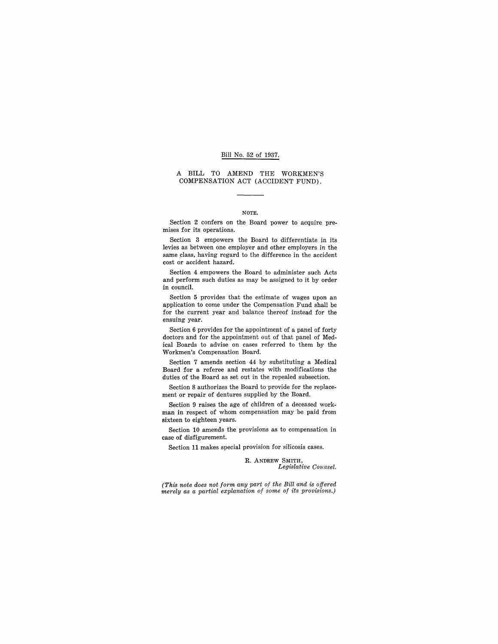#### Bill No. 52 of 1937.

#### A BILL TO AMEND THE WORKMEN'S COMPENSATION ACT (ACCIDENT FUND).

#### NOTE.

Section 2 confers on the Board power to acquire premises for its operations.

Section 3 empowers the Board to differentiate in its levies as between one employer and other employers in the same class, having regard to the difference in the accident cost or accident hazard.

Section 4 empowers the Board to administer such Acts and perform such duties as may be assigned to it by order in council.

Section 5 provides that the estimate of wages upon an application to come under the Compensation Fund shall be for the current year and balance thereof instead for the ensuing year.

Section 6 provides for the appointment of a panel of forty doctors and for the appointment out of that panel of Medical Boards to advise on cases referred to them by the Workmen's Compensation Board.

Section 7 amends section 44 by substituting a Medical Board for a referee and restates with modifications the duties of the Board as set out in the repealed subsection.

Section 8 authorizes the Board to provide for the replacement or repair of dentures supplied by the Board.

Section 9 raises the age of children of a deceased workman in respect of whom compensation may be paid from sixteen to eighteen years.

Section 10 amends the provisions as to compensation in case of disfigurement.

Section 11 makes special provision for silicosis cases.

R. ANDREW SMITH, *Legislative Counsel.* 

*(This note does not form any part of the Bill and is offered merely as a partial explanation of some of its provisions.)*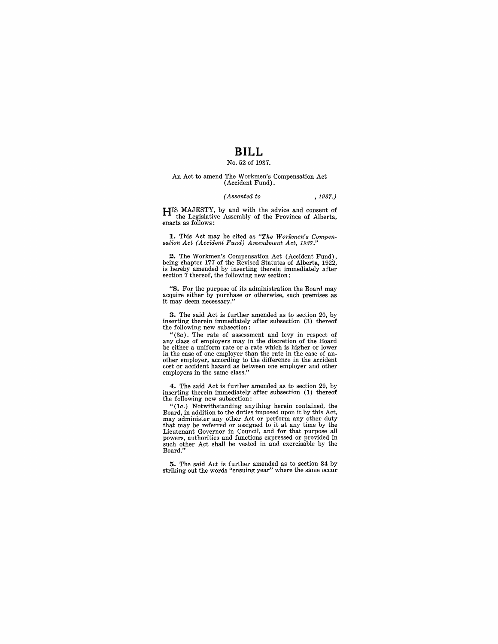# **BILL**

## No. 52 of 1937.

#### An Act to amend The Workmen's Compensation Act (Accident Fund) .

#### *(Assented to* ,1937.)

**HIS** MAJESTY, by and with the advice and consent of the Legislative Assembly of the Province of Alberta, enacts as follows:

**1.** This Act may be cited as *"The Workmen's Compensation Act (Accident Fund) Amendment Act, 1937."* 

**2.** The Workmen's Compensation Act (Accident Fund), being chapter 177 of the Revised Statutes of Alberta, 1922, is hereby amended by inserting therein immediately after section 7 thereof, the following new section:

"8. For the purpose of its administration the Board may acquire either by purchase or otherwise, such premises as it may deem necessary."

**3.** The said Act is further amended as to section 20, by inserting therein immediately after subsection (3) thereof the following new subsection:

 $"(3a)$ . The rate of assessment and levy in respect of any class of employers may in the discretion of the Board be either a uniform rate or a rate which is higher or lower<br>in the case of one employer than the rate in the case of anin the case of one employer than the rate in the case of an- other employer, according to the difference in the accident cost or accident hazard as between one employer and other employers in the same class."

**4.** The said Act is further amended as to section 29, by inserting therein immediately after subsection (1) thereof the following new subsection:

" $(1a)$ . Notwithstanding anything herein contained, the Board, in addition to the duties imposed upon it by this Act, may administer any other Act or perform any other duty that may be referred or assigned to it at any time by the Lieutenant Governor in Council, and for that purpose all powers, authorities and functions expressed or provided in such other Act shall be vested in and exercisable by the Board."

**5.** The said Act is further amended as to section 34 by striking out the words "ensuing year" where the same occur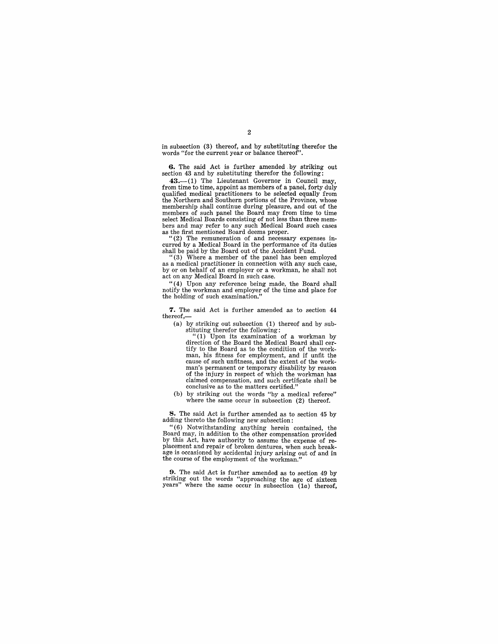in subsection  $(3)$  thereof, and by substituting therefor the words "for the current year or balance thereof".

6. The said Act is further amended -by striking out section 43 and by substituting therefor the following:

43.—(1) The Lieutenant Governor in Council may, from time to time, appoint as members of a panel, forty duly qualified medical practitioners to be selected equally from the Northern and Southern portions of the Province, whose membership shall continue during pleasure, and out of the members of such panel the Board may from time to time select Medical Boards consisting of not less than three mem-<br>bers and may refer to any such Medical Board such cases<br>as the first mentioned Board deems proper.<br>"(2) The remuneration of and necessary expenses in-

curred by a Medical Board in the performance of its duties

shall be paid by the Board out of the Accident Fund. "(3) Where a member of the panel has been employed as a medical practitioner in connection with any such case, by or on behalf of an employer or a workman, he shall not act on any Medical Board in such case.

" (4) Upon any reference being made, the Board shall notify the workman and employer of the time and place for the holding of such examination."

7. The said Act is further amended as to section 44 thereof,-

(a) by striking out subsection (1) thereof and by sub-

stituting therefor the following: "(1) Upon its examination of a workman by direction of the Board the Medical Board shall cer- tify to the Board as to the condition of the workman, his fitness for employment, and if unfit the cause of such unfitness, and the extent of the workman's permanent or temporary disability by reason of the injury in respect of which the workman has claimed compensation, and such certificate shall be conclusive as to the matters certified."

(b) by striking out the words "by a medical referee" where the same occur in subsection (2) thereof.

8. The said Act is further amended as to section 45 by adding thereto the following new subsection:

" (6) Notwithstanding anything herein contained, the Board may, in addition to the other compensation provided<br>by this Act, have authority to assume the expense of replacement and repair of broken dentures, when such breakage is occasioned by accidental injury arising out of and in the course of the employment of the workman."

9. The said Act is further amended as to section 49 by striking out the words "approaching the age of sixteen years" where the same occur in subsection  $(1a)$  thereof,

#### 2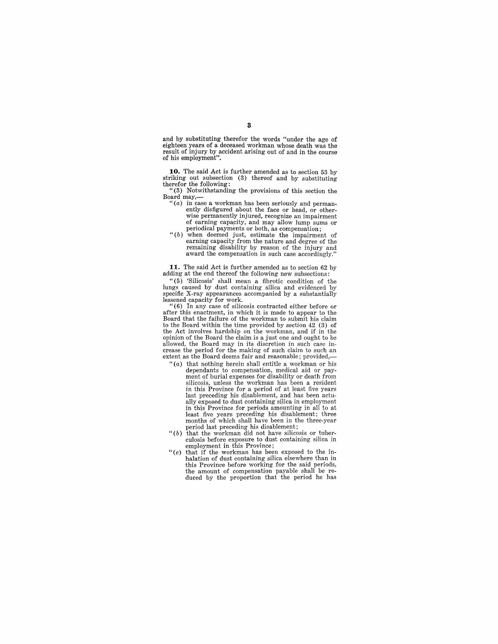and by substituting therefor the words "under the age of eighteen years of a deceased workman whose death was the result of injury by accident arising out of and in the course of his employment".

**10.** The said Act is further amended as to section 53 by striking out subsection (3) thereof and by substituting therefor the following:

"(3) Notwithstanding the provisions of this section the Board may,-

- $f(a)$  in case a workman has been seriously and permanently disfigured about the face or head, or otherwise permanently injured, recognize an impairment of earning capacity, and may allow lump sums or of earning capacity, and may allow lump sums or periodical payments or both, as compensation;<br>"(b) when deemed just, estimate the impairment of
- earning capacity from the nature and degree of the remaining disability by reason of the injury and award the compensation in such case accordingly."

**11.** The said Act is further amended as to section 62 by adding at the end thereof the following new subsections:

"(5) 'Silicosis' shall mean a fibrotic condition of the lungs caused by dust containing silica and evidenced by specific X-ray appearances accompanied by a substantially lessened capacity for work.<br>"(6) In any case of silicosis contracted either before or

after this enactment, in which it is made to appear to the Board that the failure of the workman to submit his claim to the Board within the time provided by section 42 (3) of the Act involves hardship on the workman, and if in the opinion of the Board the claim is a just one and ought to be crease the period for the making of such claim to such an extent as the Board deems fair and reasonable; provided,—

- " $(a)$  that nothing herein shall entitle a workman or his dependants to compensation, medical aid or pay-ment of burial expenses for disability or death from silicosis, unless the workman has been a resident in this Province for a period of at least five years last preceding his disablement, and has been actually exposed to dust containing silica in employment in this Province for periods amounting in all to at least five years preceding his disablement; three months of which shall have been in the three-year period last preceding his disablement;
- " $(b)$  that the workman did not have silicosis or tuberculosis before exposure to dust containing silica in employment in this Province;
- " $(c)$  that if the workman has been exposed to the in-<br>halation of dust containing silica elsewhere than in this Province before working for the said periods, the amount of compensation payable shall be re-duced by the proportion that the period he has

## 3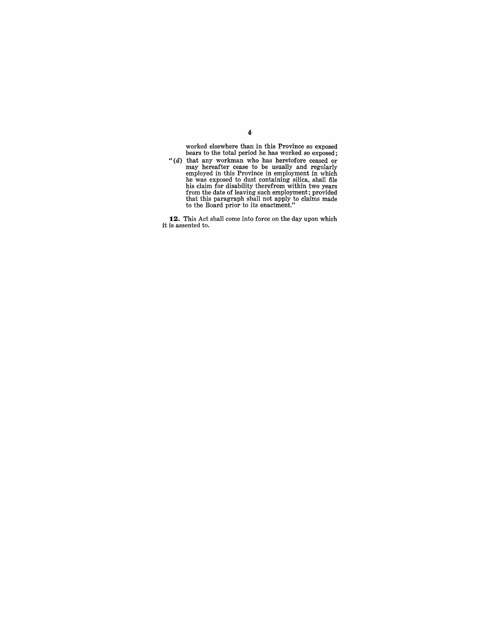worked elsewhere than in this Province so exposed bears to the total period he has worked so exposed;

"(d) that any workman who has heretofore ceased or may hereafter cease to be usually and regularly employed in this Province in employment in which he was exposed to dust containing silica, shall file his claim for disabi

12. This Act shall come into force on the day upon which it is assented to.

## $\mathbf{4}^{\mathsf{c}}$